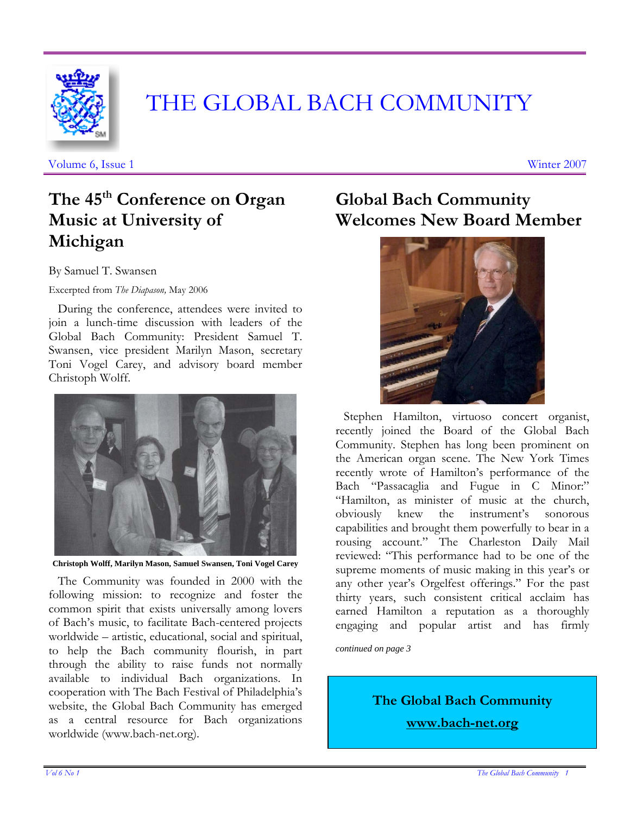

# THE GLOBAL BACH COMMUNITY

Volume 6, Issue 1 Winter 2007

# **The 45th Conference on Organ Music at University of Michigan**

By Samuel T. Swansen

Excerpted from *The Diapason,* May 2006

 During the conference, attendees were invited to join a lunch-time discussion with leaders of the Global Bach Community: President Samuel T. Swansen, vice president Marilyn Mason, secretary Toni Vogel Carey, and advisory board member Christoph Wolff.



**Christoph Wolff, Marilyn Mason, Samuel Swansen, Toni Vogel Carey**

 The Community was founded in 2000 with the following mission: to recognize and foster the common spirit that exists universally among lovers of Bach's music, to facilitate Bach-centered projects worldwide – artistic, educational, social and spiritual, to help the Bach community flourish, in part through the ability to raise funds not normally available to individual Bach organizations. In cooperation with The Bach Festival of Philadelphia's website, the Global Bach Community has emerged as a central resource for Bach organizations worldwide (www.bach-net.org).

# **Global Bach Community Welcomes New Board Member**



 Stephen Hamilton, virtuoso concert organist, recently joined the Board of the Global Bach Community. Stephen has long been prominent on the American organ scene. The New York Times recently wrote of Hamilton's performance of the Bach "Passacaglia and Fugue in C Minor:" "Hamilton, as minister of music at the church, obviously knew the instrument's sonorous capabilities and brought them powerfully to bear in a rousing account." The Charleston Daily Mail reviewed: "This performance had to be one of the supreme moments of music making in this year's or any other year's Orgelfest offerings." For the past thirty years, such consistent critical acclaim has earned Hamilton a reputation as a thoroughly engaging and popular artist and has firmly

*continued on page 3* 

**The Global Bach Community www.bach-net.org**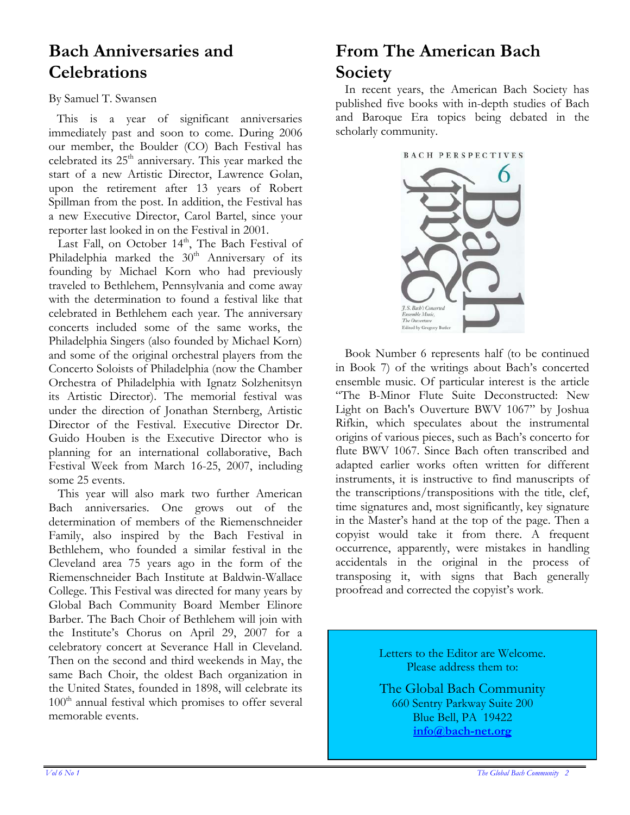### **Bach Anniversaries and Celebrations**

#### By Samuel T. Swansen

 This is a year of significant anniversaries immediately past and soon to come. During 2006 our member, the Boulder (CO) Bach Festival has celebrated its  $25<sup>th</sup>$  anniversary. This year marked the start of a new Artistic Director, Lawrence Golan, upon the retirement after 13 years of Robert Spillman from the post. In addition, the Festival has a new Executive Director, Carol Bartel, since your reporter last looked in on the Festival in 2001.

Last Fall, on October 14<sup>th</sup>, The Bach Festival of Philadelphia marked the  $30<sup>th</sup>$  Anniversary of its founding by Michael Korn who had previously traveled to Bethlehem, Pennsylvania and come away with the determination to found a festival like that celebrated in Bethlehem each year. The anniversary concerts included some of the same works, the Philadelphia Singers (also founded by Michael Korn) and some of the original orchestral players from the Concerto Soloists of Philadelphia (now the Chamber Orchestra of Philadelphia with Ignatz Solzhenitsyn its Artistic Director). The memorial festival was under the direction of Jonathan Sternberg, Artistic Director of the Festival. Executive Director Dr. Guido Houben is the Executive Director who is planning for an international collaborative, Bach Festival Week from March 16-25, 2007, including some 25 events.

 This year will also mark two further American Bach anniversaries. One grows out of the determination of members of the Riemenschneider Family, also inspired by the Bach Festival in Bethlehem, who founded a similar festival in the Cleveland area 75 years ago in the form of the Riemenschneider Bach Institute at Baldwin-Wallace College. This Festival was directed for many years by Global Bach Community Board Member Elinore Barber. The Bach Choir of Bethlehem will join with the Institute's Chorus on April 29, 2007 for a celebratory concert at Severance Hall in Cleveland. Then on the second and third weekends in May, the same Bach Choir, the oldest Bach organization in the United States, founded in 1898, will celebrate its  $100<sup>th</sup>$  annual festival which promises to offer several memorable events.

# **From The American Bach Society**

 In recent years, the American Bach Society has published five books with in-depth studies of Bach and Baroque Era topics being debated in the scholarly community.



 Book Number 6 represents half (to be continued in Book 7) of the writings about Bach's concerted ensemble music. Of particular interest is the article "The B-Minor Flute Suite Deconstructed: New Light on Bach's Ouverture BWV 1067" by Joshua Rifkin, which speculates about the instrumental origins of various pieces, such as Bach's concerto for flute BWV 1067. Since Bach often transcribed and adapted earlier works often written for different instruments, it is instructive to find manuscripts of the transcriptions/transpositions with the title, clef, time signatures and, most significantly, key signature in the Master's hand at the top of the page. Then a copyist would take it from there. A frequent occurrence, apparently, were mistakes in handling accidentals in the original in the process of transposing it, with signs that Bach generally proofread and corrected the copyist's work.

> Letters to the Editor are Welcome. Please address them to:

> The Global Bach Community 660 Sentry Parkway Suite 200 Blue Bell, PA 19422 **info@bach-net.org**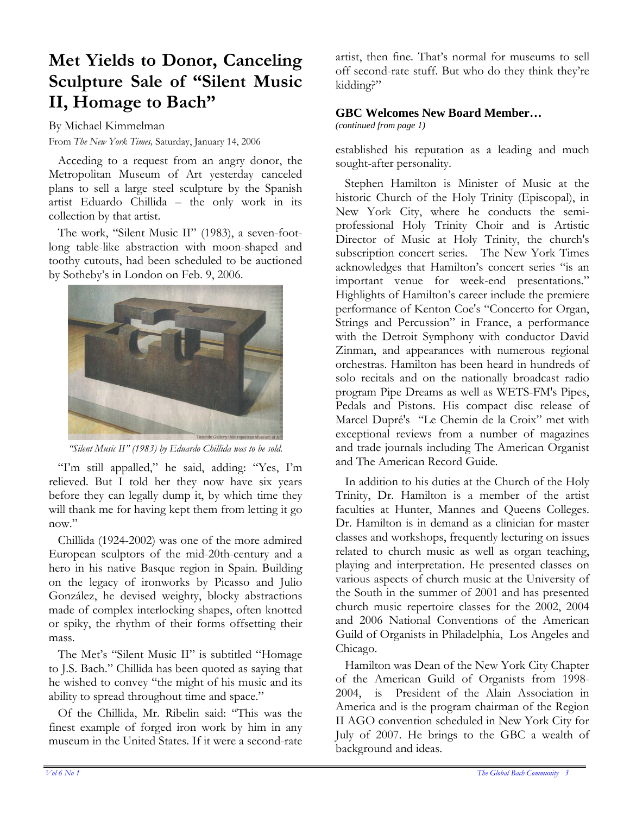# **Met Yields to Donor, Canceling Sculpture Sale of "Silent Music II, Homage to Bach"**

By Michael Kimmelman

From *The New York Times,* Saturday, January 14, 2006

 Acceding to a request from an angry donor, the Metropolitan Museum of Art yesterday canceled plans to sell a large steel sculpture by the Spanish artist Eduardo Chillida – the only work in its collection by that artist.

 The work, "Silent Music II" (1983), a seven-footlong table-like abstraction with moon-shaped and toothy cutouts, had been scheduled to be auctioned by Sotheby's in London on Feb. 9, 2006.



*"Silent Music II" (1983) by Eduardo Chillida was to be sold.* 

 "I'm still appalled," he said, adding: "Yes, I'm relieved. But I told her they now have six years before they can legally dump it, by which time they will thank me for having kept them from letting it go now."

 Chillida (1924-2002) was one of the more admired European sculptors of the mid-20th-century and a hero in his native Basque region in Spain. Building on the legacy of ironworks by Picasso and Julio González, he devised weighty, blocky abstractions made of complex interlocking shapes, often knotted or spiky, the rhythm of their forms offsetting their mass.

 The Met's "Silent Music II" is subtitled "Homage to J.S. Bach." Chillida has been quoted as saying that he wished to convey "the might of his music and its ability to spread throughout time and space."

 Of the Chillida, Mr. Ribelin said: "This was the finest example of forged iron work by him in any museum in the United States. If it were a second-rate

artist, then fine. That's normal for museums to sell off second-rate stuff. But who do they think they're kidding?"

#### **GBC Welcomes New Board Member…**

*(continued from page 1)*

established his reputation as a leading and much sought-after personality.

 Stephen Hamilton is Minister of Music at the historic Church of the Holy Trinity (Episcopal), in New York City, where he conducts the semiprofessional Holy Trinity Choir and is Artistic Director of Music at Holy Trinity, the church's subscription concert series. The New York Times acknowledges that Hamilton's concert series "is an important venue for week-end presentations." Highlights of Hamilton's career include the premiere performance of Kenton Coe's "Concerto for Organ, Strings and Percussion" in France, a performance with the Detroit Symphony with conductor David Zinman, and appearances with numerous regional orchestras. Hamilton has been heard in hundreds of solo recitals and on the nationally broadcast radio program Pipe Dreams as well as WETS-FM's Pipes, Pedals and Pistons. His compact disc release of Marcel Dupré's "Le Chemin de la Croix" met with exceptional reviews from a number of magazines and trade journals including The American Organist and The American Record Guide.

 In addition to his duties at the Church of the Holy Trinity, Dr. Hamilton is a member of the artist faculties at Hunter, Mannes and Queens Colleges. Dr. Hamilton is in demand as a clinician for master classes and workshops, frequently lecturing on issues related to church music as well as organ teaching, playing and interpretation. He presented classes on various aspects of church music at the University of the South in the summer of 2001 and has presented church music repertoire classes for the 2002, 2004 and 2006 National Conventions of the American Guild of Organists in Philadelphia, Los Angeles and Chicago.

 Hamilton was Dean of the New York City Chapter of the American Guild of Organists from 1998- 2004, is President of the Alain Association in America and is the program chairman of the Region II AGO convention scheduled in New York City for July of 2007. He brings to the GBC a wealth of background and ideas.